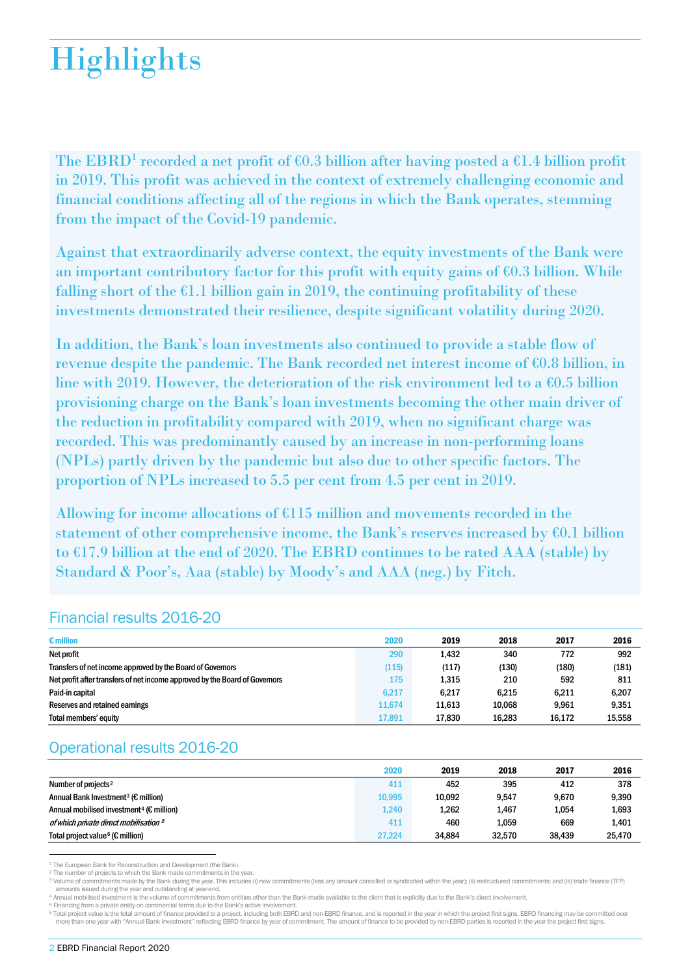# **Highlights**

The EBRD<sup>[1](#page-0-0)</sup> recorded a net profit of  $60.3$  billion after having posted a  $61.4$  billion profit in 2019. This profit was achieved in the context of extremely challenging economic and financial conditions affecting all of the regions in which the Bank operates, stemming from the impact of the Covid-19 pandemic.

Against that extraordinarily adverse context, the equity investments of the Bank were an important contributory factor for this profit with equity gains of  $60.3$  billion. While falling short of the  $\epsilon$ 1.1 billion gain in 2019, the continuing profitability of these investments demonstrated their resilience, despite significant volatility during 2020.

In addition, the Bank's loan investments also continued to provide a stable flow of revenue despite the pandemic. The Bank recorded net interest income of €0.8 billion, in line with 2019. However, the deterioration of the risk environment led to a  $60.5$  billion provisioning charge on the Bank's loan investments becoming the other main driver of the reduction in profitability compared with 2019, when no significant charge was recorded. This was predominantly caused by an increase in non-performing loans (NPLs) partly driven by the pandemic but also due to other specific factors. The proportion of NPLs increased to 5.5 per cent from 4.5 per cent in 2019.

Allowing for income allocations of €115 million and movements recorded in the statement of other comprehensive income, the Bank's reserves increased by  $60.1$  billion to  $E17.9$  billion at the end of 2020. The EBRD continues to be rated AAA (stable) by Standard & Poor's, Aaa (stable) by Moody's and AAA (neg.) by Fitch.

# Financial results 2016-20

| $\epsilon$ million                                                          | 2020   | 2019   | 2018   | 2017   | 2016   |
|-----------------------------------------------------------------------------|--------|--------|--------|--------|--------|
| Net profit                                                                  | 290    | 1.432  | 340    | 772    | 992    |
| Transfers of net income approved by the Board of Governors                  | (115)  | (117)  | (130)  | (180)  | (181)  |
| Net profit after transfers of net income approved by the Board of Governors | 175    | 1.315  | 210    | 592    | 811    |
| Paid-in capital                                                             | 6,217  | 6.217  | 6.215  | 6.211  | 6,207  |
| Reserves and retained earnings                                              | 11.674 | 11.613 | 10.068 | 9.961  | 9,351  |
| <b>Total members' equity</b>                                                | 17,891 | 17.830 | 16.283 | 16.172 | 15.558 |

# Operational results 2016-20

|                                                                | 2020   | 2019   | 2018   | 2017   | 2016   |
|----------------------------------------------------------------|--------|--------|--------|--------|--------|
| Number of projects <sup>2</sup>                                | 411    | 452    | 395    | 412    | 378    |
| Annual Bank Investment <sup>3</sup> ( $\epsilon$ million)      | 10,995 | 10.092 | 9,547  | 9.670  | 9,390  |
| Annual mobilised investment <sup>4</sup> ( $\epsilon$ million) | 1.240  | 1,262  | 1,467  | 1,054  | 1,693  |
| of which private direct mobilisation 5                         | 411    | 460    | 1.059  | 669    | 1,401  |
| Total project value $6 \times$ million)                        | 27.224 | 34.884 | 32,570 | 38.439 | 25,470 |

<span id="page-0-0"></span><sup>1</sup> The European Bank for Reconstruction and Development (the Bank).

<span id="page-0-2"></span><span id="page-0-1"></span>

<sup>2</sup> The number of projects to which the Bank made commitments in the year.<br><sup>3</sup> Volume of commitments made by the Bank during the year. This includes (i) new commitments (less any amount cancelled or syndicated within the y amounts issued during the year and outstanding at year-end.<br>4 Annual mobilised investment is the volume of commitments from entities other than the Bank made available to the client that is explicitly due to the Bank's dir

<span id="page-0-4"></span><span id="page-0-3"></span>

<sup>5</sup> Financing from a private entity on commercial terms due to the Bank's active involvement.<br><sup>6</sup> Total project value is the total amount of finance provided to a project, including both EBRD and non-EBRD finance, and is r more than one year with "Annual Bank Investment" reflecting EBRD finance by year of commitment. The amount of finance to be provided by non-EBRD parties is reported in the year the project first signs.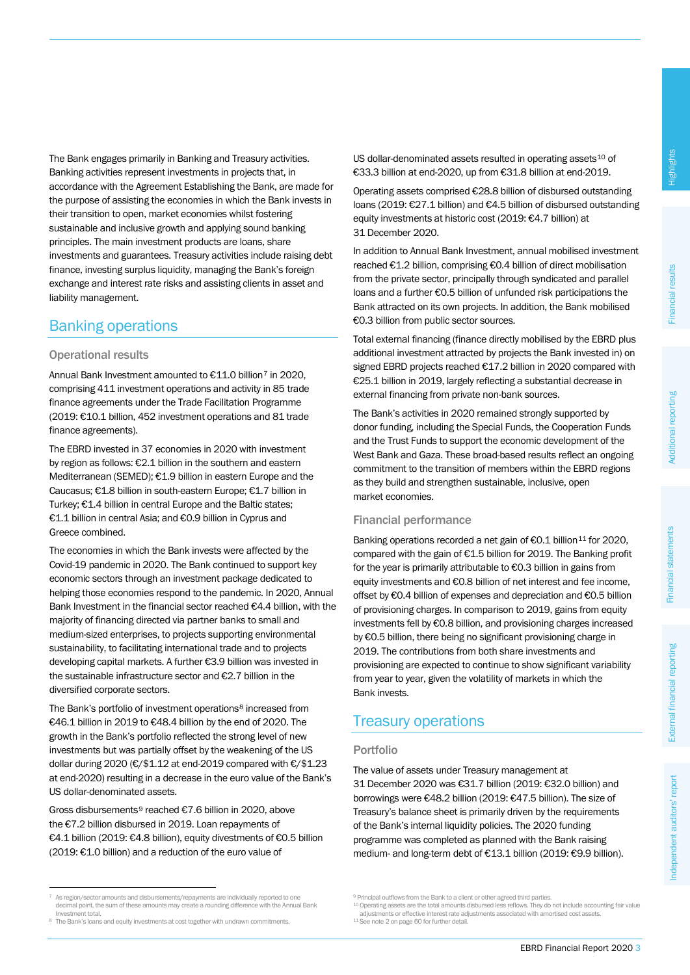The Bank engages primarily in Banking and Treasury activities. Banking activities represent investments in projects that, in accordance with the Agreement Establishing the Bank, are made for the purpose of assisting the economies in which the Bank invests in their transition to open, market economies whilst fostering sustainable and inclusive growth and applying sound banking principles. The main investment products are loans, share investments and guarantees. Treasury activities include raising debt finance, investing surplus liquidity, managing the Bank's foreign exchange and interest rate risks and assisting clients in asset and liability management.

# Banking operations

### Operational results

Annual Bank Investment amounted to €11.0 billion[7](#page-1-0) in 2020, comprising 411 investment operations and activity in 85 trade finance agreements under the Trade Facilitation Programme (2019: €10.1 billion, 452 investment operations and 81 trade finance agreements).

The EBRD invested in 37 economies in 2020 with investment by region as follows: €2.1 billion in the southern and eastern Mediterranean (SEMED); €1.9 billion in eastern Europe and the Caucasus; €1.8 billion in south-eastern Europe; €1.7 billion in Turkey; €1.4 billion in central Europe and the Baltic states; €1.1 billion in central Asia; and €0.9 billion in Cyprus and Greece combined.

The economies in which the Bank invests were affected by the Covid-19 pandemic in 2020. The Bank continued to support key economic sectors through an investment package dedicated to helping those economies respond to the pandemic. In 2020, Annual Bank Investment in the financial sector reached €4.4 billion, with the majority of financing directed via partner banks to small and medium-sized enterprises, to projects supporting environmental sustainability, to facilitating international trade and to projects developing capital markets. A further €3.9 billion was invested in the sustainable infrastructure sector and €2.7 billion in the diversified corporate sectors.

The Bank's portfolio of investment operations<sup>[8](#page-1-1)</sup> increased from €46.1 billion in 2019 to €48.4 billion by the end of 2020. The growth in the Bank's portfolio reflected the strong level of new investments but was partially offset by the weakening of the US dollar during 2020 (€/\$1.12 at end-2019 compared with €/\$1.23 at end-2020) resulting in a decrease in the euro value of the Bank's US dollar-denominated assets.

Gross disbursements[9](#page-1-0) reached €7.6 billion in 2020, above the €7.2 billion disbursed in 2019. Loan repayments of €4.1 billion (2019: €4.8 billion), equity divestments of €0.5 billion (2019: €1.0 billion) and a reduction of the euro value of

US dollar-denominated assets resulted in operating assets<sup>[10](#page-1-2)</sup> of €33.3 billion at end-2020, up from €31.8 billion at end-2019.

Operating assets comprised €28.8 billion of disbursed outstanding loans (2019: €27.1 billion) and €4.5 billion of disbursed outstanding equity investments at historic cost (2019: €4.7 billion) at 31 December 2020.

In addition to Annual Bank Investment, annual mobilised investment reached €1.2 billion, comprising €0.4 billion of direct mobilisation from the private sector, principally through syndicated and parallel loans and a further €0.5 billion of unfunded risk participations the Bank attracted on its own projects. In addition, the Bank mobilised €0.3 billion from public sector sources.

Total external financing (finance directly mobilised by the EBRD plus additional investment attracted by projects the Bank invested in) on signed EBRD projects reached €17.2 billion in 2020 compared with €25.1 billion in 2019, largely reflecting a substantial decrease in external financing from private non-bank sources.

The Bank's activities in 2020 remained strongly supported by donor funding, including the Special Funds, the Cooperation Funds and the Trust Funds to support the economic development of the West Bank and Gaza. These broad-based results reflect an ongoing commitment to the transition of members within the EBRD regions as they build and strengthen sustainable, inclusive, open market economies.

### Financial performance

Banking operations recorded a net gain of €0.1 billion<sup>[11](#page-1-1)</sup> for 2020, compared with the gain of €1.5 billion for 2019. The Banking profit for the year is primarily attributable to €0.3 billion in gains from equity investments and €0.8 billion of net interest and fee income, offset by €0.4 billion of expenses and depreciation and €0.5 billion of provisioning charges. In comparison to 2019, gains from equity investments fell by €0.8 billion, and provisioning charges increased by €0.5 billion, there being no significant provisioning charge in 2019. The contributions from both share investments and provisioning are expected to continue to show significant variability from year to year, given the volatility of markets in which the Bank invests.

# Treasury operations

### Portfolio

The value of assets under Treasury management at 31 December 2020 was €31.7 billion (2019: €32.0 billion) and borrowings were €48.2 billion (2019: €47.5 billion). The size of Treasury's balance sheet is primarily driven by the requirements of the Bank's internal liquidity policies. The 2020 funding programme was completed as planned with the Bank raising medium- and long-term debt of €13.1 billion (2019: €9.9 billion).

 $^{10}$  Operating assets are the total amounts disbursed less reflows. They do not include accounting fair value adjustments or effective interest rate adjustments associated with amortised cost assets.

<span id="page-1-2"></span><span id="page-1-0"></span> <sup>7</sup> As region/sector amounts and disbursements/repayments are individually reported to one decimal point, the sum of these amounts may create a rounding difference with the Annual Bank Investment total.

<span id="page-1-1"></span><sup>8</sup> The Bank's loans and equity investments at cost together with undrawn commitments.

**Principal outflows from the Bank to a client or other agreed third parties.** 

<sup>11</sup> See note 2 on page 60 for further detail.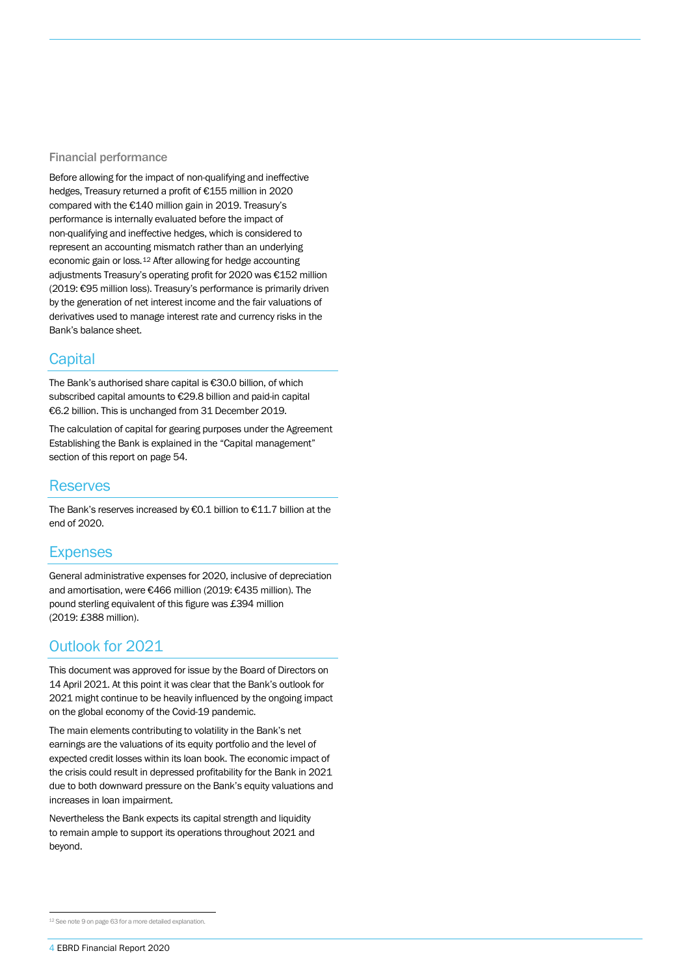#### Financial performance

Before allowing for the impact of non-qualifying and ineffective hedges, Treasury returned a profit of €155 million in 2020 compared with the €140 million gain in 2019. Treasury's performance is internally evaluated before the impact of non-qualifying and ineffective hedges, which is considered to represent an accounting mismatch rather than an underlying economic gain or loss.[12](#page-2-0) After allowing for hedge accounting adjustments Treasury's operating profit for 2020 was €152 million (2019: €95 million loss). Treasury's performance is primarily driven by the generation of net interest income and the fair valuations of derivatives used to manage interest rate and currency risks in the Bank's balance sheet.

# **Capital**

The Bank's authorised share capital is €30.0 billion, of which subscribed capital amounts to €29.8 billion and paid-in capital €6.2 billion. This is unchanged from 31 December 2019.

The calculation of capital for gearing purposes under the Agreement Establishing the Bank is explained in the "Capital management" section of this report on page 54.

### Reserves

The Bank's reserves increased by €0.1 billion to €11.7 billion at the end of 2020.

# **Expenses**

General administrative expenses for 2020, inclusive of depreciation and amortisation, were €466 million (2019: €435 million). The pound sterling equivalent of this figure was £394 million (2019: £388 million).

# Outlook for 2021

This document was approved for issue by the Board of Directors on 14 April 2021. At this point it was clear that the Bank's outlook for 2021 might continue to be heavily influenced by the ongoing impact on the global economy of the Covid-19 pandemic.

The main elements contributing to volatility in the Bank's net earnings are the valuations of its equity portfolio and the level of expected credit losses within its loan book. The economic impact of the crisis could result in depressed profitability for the Bank in 2021 due to both downward pressure on the Bank's equity valuations and increases in loan impairment.

Nevertheless the Bank expects its capital strength and liquidity to remain ample to support its operations throughout 2021 and beyond.

<span id="page-2-0"></span> <sup>12</sup> See note 9 on page 63 for a more detailed explanation.